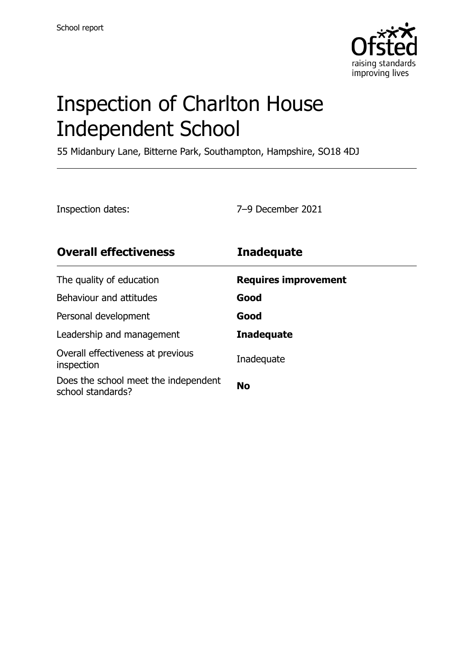

# Inspection of Charlton House Independent School

55 Midanbury Lane, Bitterne Park, Southampton, Hampshire, SO18 4DJ

Inspection dates: 7–9 December 2021

| <b>Overall effectiveness</b>                              | <b>Inadequate</b>           |
|-----------------------------------------------------------|-----------------------------|
| The quality of education                                  | <b>Requires improvement</b> |
| Behaviour and attitudes                                   | Good                        |
| Personal development                                      | Good                        |
| Leadership and management                                 | <b>Inadequate</b>           |
| Overall effectiveness at previous<br>inspection           | Inadequate                  |
| Does the school meet the independent<br>school standards? | <b>No</b>                   |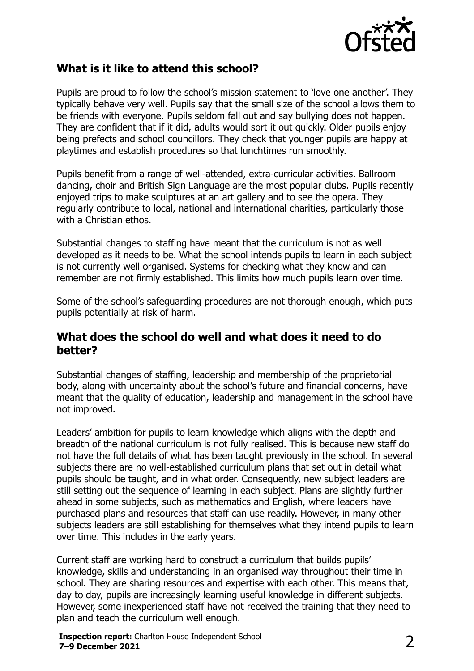

## **What is it like to attend this school?**

Pupils are proud to follow the school's mission statement to 'love one another'. They typically behave very well. Pupils say that the small size of the school allows them to be friends with everyone. Pupils seldom fall out and say bullying does not happen. They are confident that if it did, adults would sort it out quickly. Older pupils enjoy being prefects and school councillors. They check that younger pupils are happy at playtimes and establish procedures so that lunchtimes run smoothly.

Pupils benefit from a range of well-attended, extra-curricular activities. Ballroom dancing, choir and British Sign Language are the most popular clubs. Pupils recently enjoyed trips to make sculptures at an art gallery and to see the opera. They regularly contribute to local, national and international charities, particularly those with a Christian ethos.

Substantial changes to staffing have meant that the curriculum is not as well developed as it needs to be. What the school intends pupils to learn in each subject is not currently well organised. Systems for checking what they know and can remember are not firmly established. This limits how much pupils learn over time.

Some of the school's safeguarding procedures are not thorough enough, which puts pupils potentially at risk of harm.

#### **What does the school do well and what does it need to do better?**

Substantial changes of staffing, leadership and membership of the proprietorial body, along with uncertainty about the school's future and financial concerns, have meant that the quality of education, leadership and management in the school have not improved.

Leaders' ambition for pupils to learn knowledge which aligns with the depth and breadth of the national curriculum is not fully realised. This is because new staff do not have the full details of what has been taught previously in the school. In several subjects there are no well-established curriculum plans that set out in detail what pupils should be taught, and in what order. Consequently, new subject leaders are still setting out the sequence of learning in each subject. Plans are slightly further ahead in some subjects, such as mathematics and English, where leaders have purchased plans and resources that staff can use readily. However, in many other subjects leaders are still establishing for themselves what they intend pupils to learn over time. This includes in the early years.

Current staff are working hard to construct a curriculum that builds pupils' knowledge, skills and understanding in an organised way throughout their time in school. They are sharing resources and expertise with each other. This means that, day to day, pupils are increasingly learning useful knowledge in different subjects. However, some inexperienced staff have not received the training that they need to plan and teach the curriculum well enough.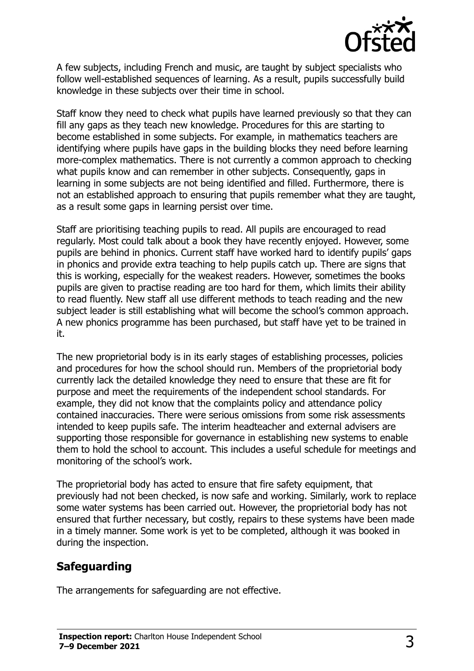

A few subjects, including French and music, are taught by subject specialists who follow well-established sequences of learning. As a result, pupils successfully build knowledge in these subjects over their time in school.

Staff know they need to check what pupils have learned previously so that they can fill any gaps as they teach new knowledge. Procedures for this are starting to become established in some subjects. For example, in mathematics teachers are identifying where pupils have gaps in the building blocks they need before learning more-complex mathematics. There is not currently a common approach to checking what pupils know and can remember in other subjects. Consequently, gaps in learning in some subjects are not being identified and filled. Furthermore, there is not an established approach to ensuring that pupils remember what they are taught, as a result some gaps in learning persist over time.

Staff are prioritising teaching pupils to read. All pupils are encouraged to read regularly. Most could talk about a book they have recently enjoyed. However, some pupils are behind in phonics. Current staff have worked hard to identify pupils' gaps in phonics and provide extra teaching to help pupils catch up. There are signs that this is working, especially for the weakest readers. However, sometimes the books pupils are given to practise reading are too hard for them, which limits their ability to read fluently. New staff all use different methods to teach reading and the new subject leader is still establishing what will become the school's common approach. A new phonics programme has been purchased, but staff have yet to be trained in it.

The new proprietorial body is in its early stages of establishing processes, policies and procedures for how the school should run. Members of the proprietorial body currently lack the detailed knowledge they need to ensure that these are fit for purpose and meet the requirements of the independent school standards. For example, they did not know that the complaints policy and attendance policy contained inaccuracies. There were serious omissions from some risk assessments intended to keep pupils safe. The interim headteacher and external advisers are supporting those responsible for governance in establishing new systems to enable them to hold the school to account. This includes a useful schedule for meetings and monitoring of the school's work.

The proprietorial body has acted to ensure that fire safety equipment, that previously had not been checked, is now safe and working. Similarly, work to replace some water systems has been carried out. However, the proprietorial body has not ensured that further necessary, but costly, repairs to these systems have been made in a timely manner. Some work is yet to be completed, although it was booked in during the inspection.

## **Safeguarding**

The arrangements for safeguarding are not effective.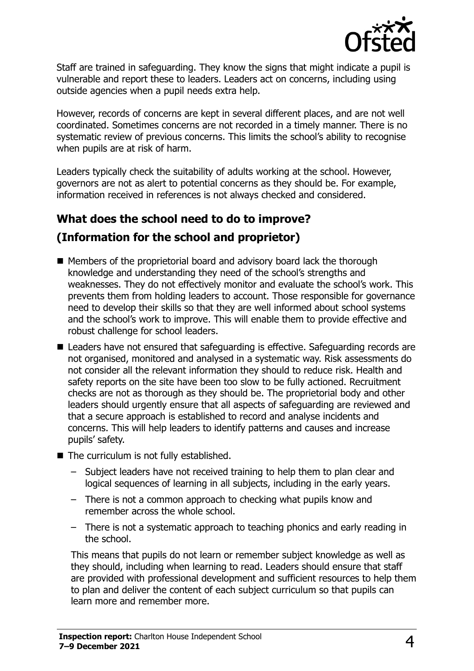

Staff are trained in safeguarding. They know the signs that might indicate a pupil is vulnerable and report these to leaders. Leaders act on concerns, including using outside agencies when a pupil needs extra help.

However, records of concerns are kept in several different places, and are not well coordinated. Sometimes concerns are not recorded in a timely manner. There is no systematic review of previous concerns. This limits the school's ability to recognise when pupils are at risk of harm.

Leaders typically check the suitability of adults working at the school. However, governors are not as alert to potential concerns as they should be. For example, information received in references is not always checked and considered.

## **What does the school need to do to improve?**

## **(Information for the school and proprietor)**

- Members of the proprietorial board and advisory board lack the thorough knowledge and understanding they need of the school's strengths and weaknesses. They do not effectively monitor and evaluate the school's work. This prevents them from holding leaders to account. Those responsible for governance need to develop their skills so that they are well informed about school systems and the school's work to improve. This will enable them to provide effective and robust challenge for school leaders.
- Leaders have not ensured that safeguarding is effective. Safeguarding records are not organised, monitored and analysed in a systematic way. Risk assessments do not consider all the relevant information they should to reduce risk. Health and safety reports on the site have been too slow to be fully actioned. Recruitment checks are not as thorough as they should be. The proprietorial body and other leaders should urgently ensure that all aspects of safeguarding are reviewed and that a secure approach is established to record and analyse incidents and concerns. This will help leaders to identify patterns and causes and increase pupils' safety.
- The curriculum is not fully established.
	- Subject leaders have not received training to help them to plan clear and logical sequences of learning in all subjects, including in the early years.
	- There is not a common approach to checking what pupils know and remember across the whole school.
	- There is not a systematic approach to teaching phonics and early reading in the school.

This means that pupils do not learn or remember subject knowledge as well as they should, including when learning to read. Leaders should ensure that staff are provided with professional development and sufficient resources to help them to plan and deliver the content of each subject curriculum so that pupils can learn more and remember more.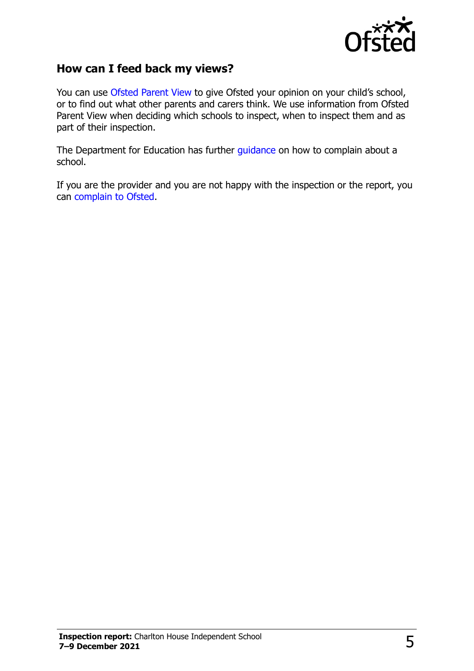

#### **How can I feed back my views?**

You can use [Ofsted Parent View](http://parentview.ofsted.gov.uk/) to give Ofsted your opinion on your child's school, or to find out what other parents and carers think. We use information from Ofsted Parent View when deciding which schools to inspect, when to inspect them and as part of their inspection.

The Department for Education has further [guidance](http://www.gov.uk/complain-about-school) on how to complain about a school.

If you are the provider and you are not happy with the inspection or the report, you can [complain to Ofsted.](http://www.gov.uk/complain-ofsted-report)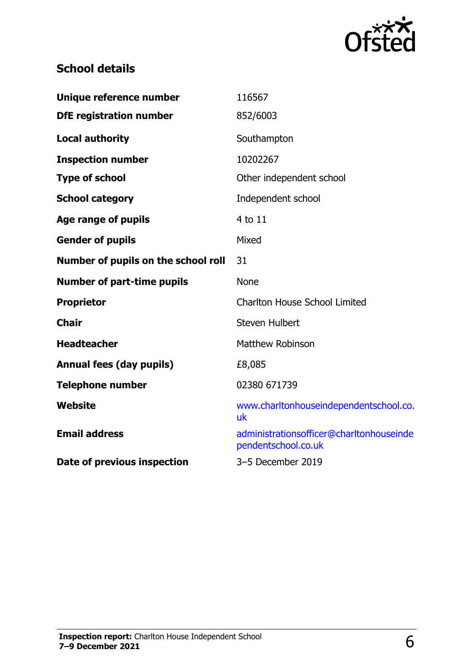

## **School details**

| Unique reference number             | 116567                                                          |
|-------------------------------------|-----------------------------------------------------------------|
| <b>DfE registration number</b>      | 852/6003                                                        |
| <b>Local authority</b>              | Southampton                                                     |
| <b>Inspection number</b>            | 10202267                                                        |
| <b>Type of school</b>               | Other independent school                                        |
| <b>School category</b>              | Independent school                                              |
| <b>Age range of pupils</b>          | 4 to 11                                                         |
| <b>Gender of pupils</b>             | Mixed                                                           |
| Number of pupils on the school roll | 31                                                              |
| <b>Number of part-time pupils</b>   | <b>None</b>                                                     |
| <b>Proprietor</b>                   | <b>Charlton House School Limited</b>                            |
| <b>Chair</b>                        | <b>Steven Hulbert</b>                                           |
| <b>Headteacher</b>                  | Matthew Robinson                                                |
| <b>Annual fees (day pupils)</b>     | £8,085                                                          |
| <b>Telephone number</b>             | 02380 671739                                                    |
| Website                             | www.charltonhouseindependentschool.co.<br>uk                    |
| <b>Email address</b>                | administrationsofficer@charltonhouseinde<br>pendentschool.co.uk |
| Date of previous inspection         | 3-5 December 2019                                               |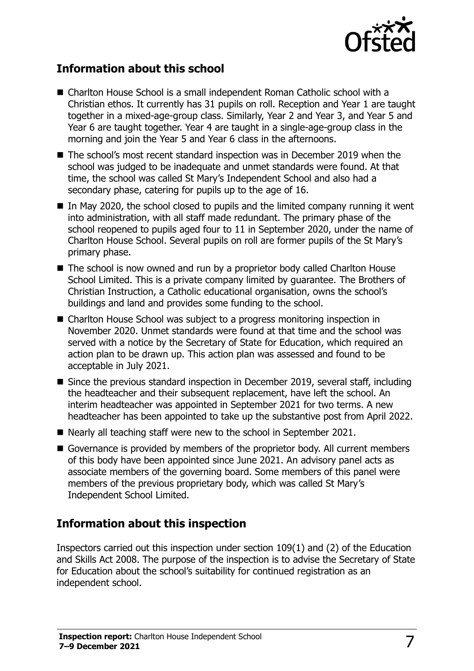

## **Information about this school**

- Charlton House School is a small independent Roman Catholic school with a Christian ethos. It currently has 31 pupils on roll. Reception and Year 1 are taught together in a mixed-age-group class. Similarly, Year 2 and Year 3, and Year 5 and Year 6 are taught together. Year 4 are taught in a single-age-group class in the morning and join the Year 5 and Year 6 class in the afternoons.
- The school's most recent standard inspection was in December 2019 when the school was judged to be inadequate and unmet standards were found. At that time, the school was called St Mary's Independent School and also had a secondary phase, catering for pupils up to the age of 16.
- $\blacksquare$  In May 2020, the school closed to pupils and the limited company running it went into administration, with all staff made redundant. The primary phase of the school reopened to pupils aged four to 11 in September 2020, under the name of Charlton House School. Several pupils on roll are former pupils of the St Mary's primary phase.
- The school is now owned and run by a proprietor body called Charlton House School Limited. This is a private company limited by guarantee. The Brothers of Christian Instruction, a Catholic educational organisation, owns the school's buildings and land and provides some funding to the school.
- Charlton House School was subject to a progress monitoring inspection in November 2020. Unmet standards were found at that time and the school was served with a notice by the Secretary of State for Education, which required an action plan to be drawn up. This action plan was assessed and found to be acceptable in July 2021.
- Since the previous standard inspection in December 2019, several staff, including the headteacher and their subsequent replacement, have left the school. An interim headteacher was appointed in September 2021 for two terms. A new headteacher has been appointed to take up the substantive post from April 2022.
- Nearly all teaching staff were new to the school in September 2021.
- Governance is provided by members of the proprietor body. All current members of this body have been appointed since June 2021. An advisory panel acts as associate members of the governing board. Some members of this panel were members of the previous proprietary body, which was called St Mary's Independent School Limited.

## **Information about this inspection**

Inspectors carried out this inspection under section 109(1) and (2) of the Education and Skills Act 2008. The purpose of the inspection is to advise the Secretary of State for Education about the school's suitability for continued registration as an independent school.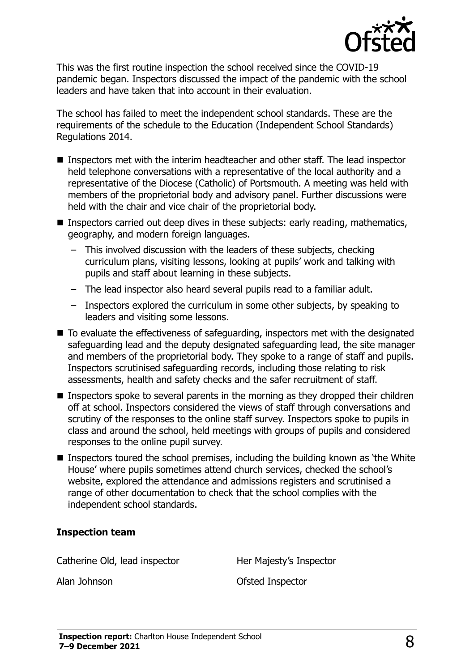

This was the first routine inspection the school received since the COVID-19 pandemic began. Inspectors discussed the impact of the pandemic with the school leaders and have taken that into account in their evaluation.

The school has failed to meet the independent school standards. These are the requirements of the schedule to the Education (Independent School Standards) Regulations 2014.

- Inspectors met with the interim headteacher and other staff. The lead inspector held telephone conversations with a representative of the local authority and a representative of the Diocese (Catholic) of Portsmouth. A meeting was held with members of the proprietorial body and advisory panel. Further discussions were held with the chair and vice chair of the proprietorial body.
- Inspectors carried out deep dives in these subjects: early reading, mathematics, geography, and modern foreign languages.
	- This involved discussion with the leaders of these subjects, checking curriculum plans, visiting lessons, looking at pupils' work and talking with pupils and staff about learning in these subjects.
	- The lead inspector also heard several pupils read to a familiar adult.
	- Inspectors explored the curriculum in some other subjects, by speaking to leaders and visiting some lessons.
- To evaluate the effectiveness of safeguarding, inspectors met with the designated safeguarding lead and the deputy designated safeguarding lead, the site manager and members of the proprietorial body. They spoke to a range of staff and pupils. Inspectors scrutinised safeguarding records, including those relating to risk assessments, health and safety checks and the safer recruitment of staff.
- **Inspectors spoke to several parents in the morning as they dropped their children** off at school. Inspectors considered the views of staff through conversations and scrutiny of the responses to the online staff survey. Inspectors spoke to pupils in class and around the school, held meetings with groups of pupils and considered responses to the online pupil survey.
- **Inspectors toured the school premises, including the building known as 'the White** House' where pupils sometimes attend church services, checked the school's website, explored the attendance and admissions registers and scrutinised a range of other documentation to check that the school complies with the independent school standards.

#### **Inspection team**

Catherine Old, lead inspector **Her Majesty's Inspector** 

Alan Johnson Ofsted Inspector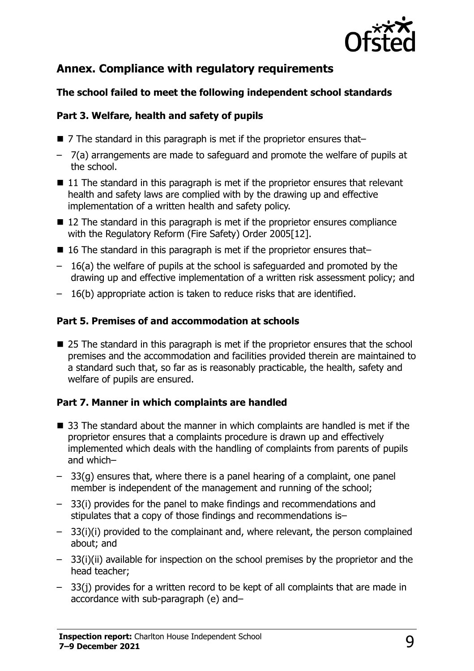

## **Annex. Compliance with regulatory requirements**

#### **The school failed to meet the following independent school standards**

#### **Part 3. Welfare, health and safety of pupils**

- 7 The standard in this paragraph is met if the proprietor ensures that–
- 7(a) arrangements are made to safeguard and promote the welfare of pupils at the school.
- $\blacksquare$  11 The standard in this paragraph is met if the proprietor ensures that relevant health and safety laws are complied with by the drawing up and effective implementation of a written health and safety policy.
- 12 The standard in this paragraph is met if the proprietor ensures compliance with the Regulatory Reform (Fire Safety) Order 2005[12].
- 16 The standard in this paragraph is met if the proprietor ensures that–
- 16(a) the welfare of pupils at the school is safeguarded and promoted by the drawing up and effective implementation of a written risk assessment policy; and
- 16(b) appropriate action is taken to reduce risks that are identified.

#### **Part 5. Premises of and accommodation at schools**

■ 25 The standard in this paragraph is met if the proprietor ensures that the school premises and the accommodation and facilities provided therein are maintained to a standard such that, so far as is reasonably practicable, the health, safety and welfare of pupils are ensured.

#### **Part 7. Manner in which complaints are handled**

- 33 The standard about the manner in which complaints are handled is met if the proprietor ensures that a complaints procedure is drawn up and effectively implemented which deals with the handling of complaints from parents of pupils and which–
- 33(g) ensures that, where there is a panel hearing of a complaint, one panel member is independent of the management and running of the school;
- 33(i) provides for the panel to make findings and recommendations and stipulates that a copy of those findings and recommendations is–
- 33(i)(i) provided to the complainant and, where relevant, the person complained about; and
- 33(i)(ii) available for inspection on the school premises by the proprietor and the head teacher;
- 33(j) provides for a written record to be kept of all complaints that are made in accordance with sub-paragraph (e) and–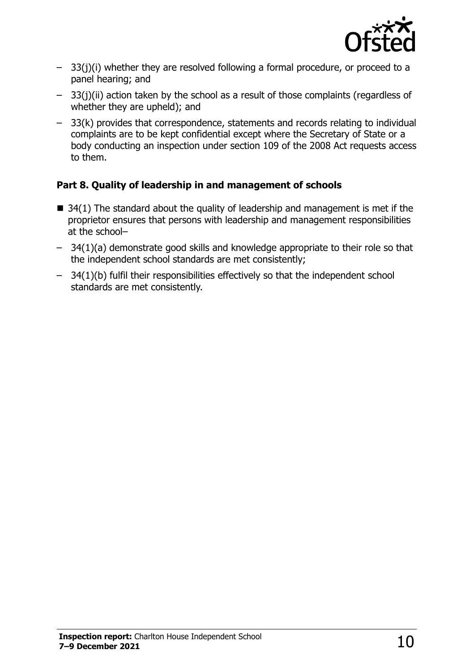

- 33(j)(i) whether they are resolved following a formal procedure, or proceed to a panel hearing; and
- 33(j)(ii) action taken by the school as a result of those complaints (regardless of whether they are upheld); and
- 33(k) provides that correspondence, statements and records relating to individual complaints are to be kept confidential except where the Secretary of State or a body conducting an inspection under section 109 of the 2008 Act requests access to them.

#### **Part 8. Quality of leadership in and management of schools**

- $\blacksquare$  34(1) The standard about the quality of leadership and management is met if the proprietor ensures that persons with leadership and management responsibilities at the school–
- 34(1)(a) demonstrate good skills and knowledge appropriate to their role so that the independent school standards are met consistently;
- 34(1)(b) fulfil their responsibilities effectively so that the independent school standards are met consistently.